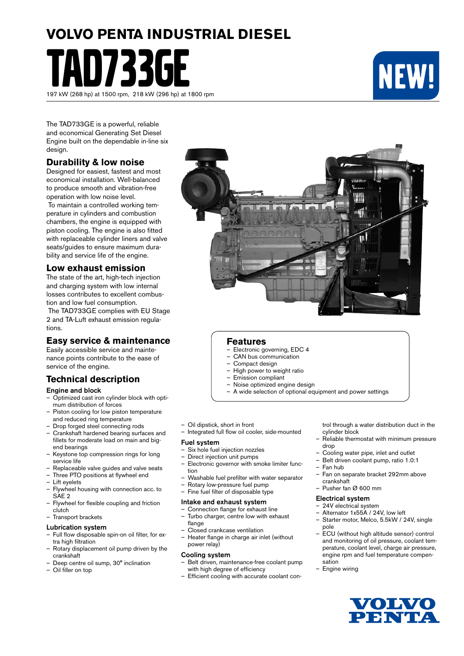# **VOLVO PENTA INDUSTRIAL DIESEL**

TAD733GE 197 kW (268 hp) at 1500 rpm, 218 kW (296 hp) at 1800 rpm



The TAD733GE is a powerful, reliable and economical Generating Set Diesel Engine built on the dependable in-line six design.

### **Durability & low noise**

Designed for easiest, fastest and most economical installation. Well-balanced to produce smooth and vibration-free operation with low noise level.

 To maintain a controlled working temperature in cylinders and combustion chambers, the engine is equipped with piston cooling. The engine is also fitted with replaceable cylinder liners and valve seats/guides to ensure maximum durability and service life of the engine.

## **Low exhaust emission**

The state of the art, high-tech injection and charging system with low internal losses contributes to excellent combustion and low fuel consumption.

 The TAD733GE complies with EU Stage 2 and TA-Luft exhaust emission regulations.

## **Easy service & maintenance**

Easily accessible service and maintenance points contribute to the ease of service of the engine.

## **Technical description**

#### Engine and block

- Optimized cast iron cylinder block with optimum distribution of forces
- Piston cooling for low piston temperature and reduced ring temperature
- Drop forged steel connecting rods
- Crankshaft hardened bearing surfaces and fillets for moderate load on main and bigend bearings
- Keystone top compression rings for long service life
- $-$  Replaceable valve guides and valve seats<br> $-$  Three PTO positions at flywheel end
- Three PTO positions at flywheel end
- Lift eyelets
- Flywheel housing with connection acc. to SAE 2
- Flywheel for flexible coupling and friction clutch
- Transport brackets

#### Lubrication system

- Full flow disposable spin-on oil filter, for extra high filtration
- Rotary displacement oil pump driven by the crankshaft
- Deep centre oil sump, 30° inclination
- Oil filler on top



#### **Features**

- Electronic governing, EDC 4
- CAN bus communication
- Compact design
- High power to weight ratio<br>– Emission compliant
- Emission compliant
- Noise optimized engine design
- A wide selection of optional equipment and power settings
- Oil dipstick, short in front
- Integrated full flow oil cooler, side-mounted

#### Fuel system

- Six hole fuel injection nozzles
- Direct injection unit pumps
- Electronic governor with smoke limiter function
- Washable fuel prefilter with water separator
- Rotary low-pressure fuel pump<br>– Fine fuel filter of disposable type
	- Fine fuel filter of disposable type

#### Intake and exhaust system

- Connection flange for exhaust line – Turbo charger, centre low with exhaust
- flange – Closed crankcase ventilation
- Heater flange in charge air inlet (without power relay)

#### Cooling system

- Belt driven, maintenance-free coolant pump with high degree of efficiency
- Efficient cooling with accurate coolant con-

trol through a water distribution duct in the cylinder block

- Reliable thermostat with minimum pressure drop
- Cooling water pipe, inlet and outlet
- Belt driven coolant pump, ratio 1.0:1
- Fan hub
- Fan on separate bracket 292mm above crankshaft
- Pusher fan Ø 600 mm

#### Electrical system

- 24V electrical system
- Alternator 1x55A / 24V, low left
- Starter motor, Melco, 5.5kW / 24V, single pole
- ECU (without high altitude sensor) control and monitoring of oil pressure, coolant temperature, coolant level, charge air pressure, engine rpm and fuel temperature compensation
- Engine wiring